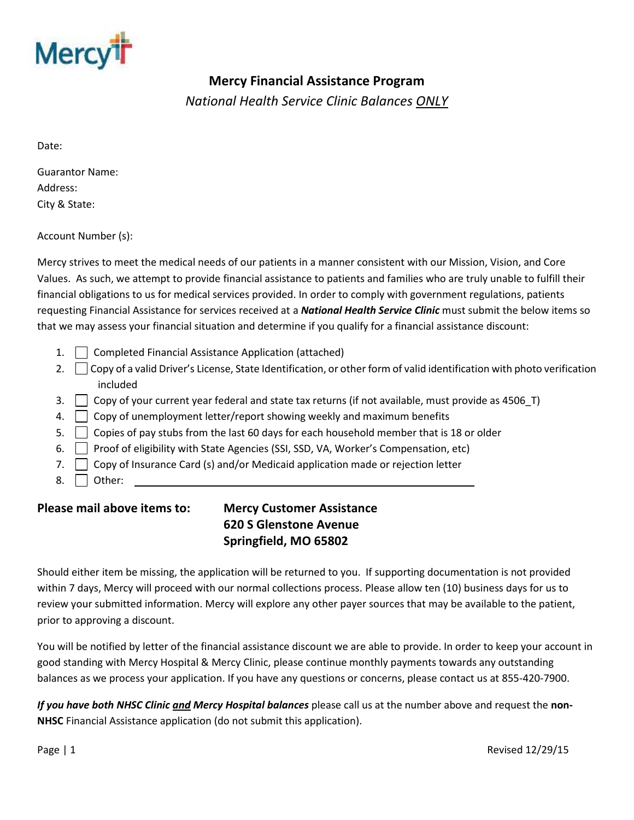

## **Mercy Financial Assistance Program**

*National Health Service Clinic Balances ONLY*

Date:

Guarantor Name: Address: City & State:

Account Number (s):

Mercy strives to meet the medical needs of our patients in a manner consistent with our Mission, Vision, and Core Values. As such, we attempt to provide financial assistance to patients and families who are truly unable to fulfill their financial obligations to us for medical services provided. In order to comply with government regulations, patients requesting Financial Assistance for services received at a *National Health Service Clinic* must submit the below items so that we may assess your financial situation and determine if you qualify for a financial assistance discount:

- 1. **Completed Financial Assistance Application (attached)**
- 2. Copy of a valid Driver's License, State Identification, or other form of valid identification with photo verification included
- 3. Copy of your current year federal and state tax returns (if not available, must provide as 4506 T)
- 4. Copy of unemployment letter/report showing weekly and maximum benefits
- 5. Copies of pay stubs from the last 60 days for each household member that is 18 or older
- 6. Proof of eligibility with State Agencies (SSI, SSD, VA, Worker's Compensation, etc)
- 7. Copy of Insurance Card (s) and/or Medicaid application made or rejection letter
- 8. **Other:**

## **Please mail above items to: Mercy Customer Assistance**

## **620 S Glenstone Avenue Springfield, MO 65802**

Should either item be missing, the application will be returned to you. If supporting documentation is not provided within 7 days, Mercy will proceed with our normal collections process. Please allow ten (10) business days for us to review your submitted information. Mercy will explore any other payer sources that may be available to the patient, prior to approving a discount.

You will be notified by letter of the financial assistance discount we are able to provide. In order to keep your account in good standing with Mercy Hospital & Mercy Clinic, please continue monthly payments towards any outstanding balances as we process your application. If you have any questions or concerns, please contact us at 855-420-7900.

*If you have both NHSC Clinic and Mercy Hospital balances* please call us at the number above and request the **non-NHSC** Financial Assistance application (do not submit this application).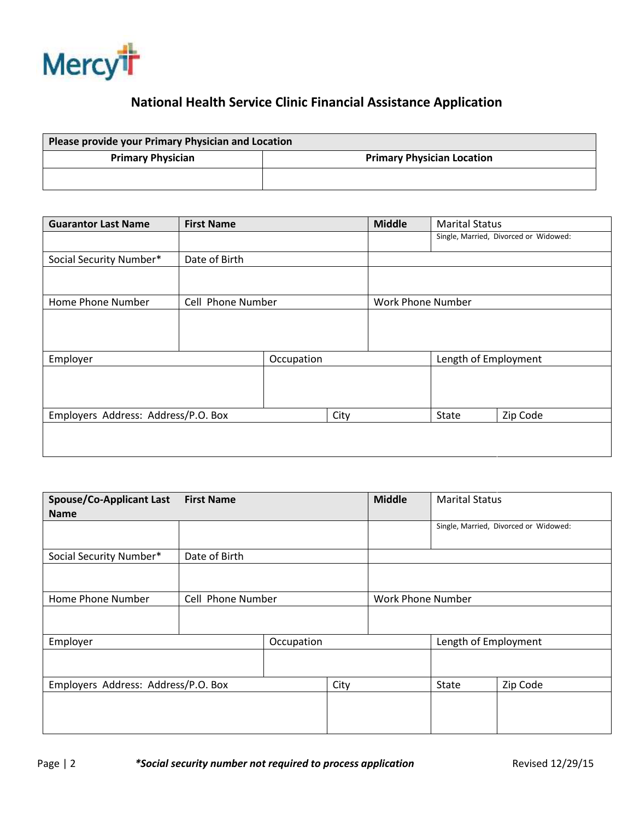

## **National Health Service Clinic Financial Assistance Application**

| Please provide your Primary Physician and Location |                                   |  |  |  |  |
|----------------------------------------------------|-----------------------------------|--|--|--|--|
| <b>Primary Physician</b>                           | <b>Primary Physician Location</b> |  |  |  |  |
|                                                    |                                   |  |  |  |  |

| <b>Guarantor Last Name</b>          | <b>First Name</b> |            | <b>Middle</b>     | <b>Marital Status</b> |                      |                                       |
|-------------------------------------|-------------------|------------|-------------------|-----------------------|----------------------|---------------------------------------|
|                                     |                   |            |                   |                       |                      | Single, Married, Divorced or Widowed: |
| Social Security Number*             | Date of Birth     |            |                   |                       |                      |                                       |
|                                     |                   |            |                   |                       |                      |                                       |
| Home Phone Number                   | Cell Phone Number |            | Work Phone Number |                       |                      |                                       |
|                                     |                   |            |                   |                       |                      |                                       |
| Employer                            |                   | Occupation |                   |                       | Length of Employment |                                       |
|                                     |                   |            |                   |                       |                      |                                       |
| Employers Address: Address/P.O. Box |                   | City       |                   | State                 | Zip Code             |                                       |
|                                     |                   |            |                   |                       |                      |                                       |

| <b>Spouse/Co-Applicant Last</b><br><b>Name</b> | <b>First Name</b> |            |      | <b>Middle</b>     | <b>Marital Status</b> |                                       |
|------------------------------------------------|-------------------|------------|------|-------------------|-----------------------|---------------------------------------|
|                                                |                   |            |      |                   |                       | Single, Married, Divorced or Widowed: |
| Social Security Number*                        | Date of Birth     |            |      |                   |                       |                                       |
|                                                |                   |            |      |                   |                       |                                       |
| Home Phone Number                              | Cell Phone Number |            |      | Work Phone Number |                       |                                       |
|                                                |                   |            |      |                   |                       |                                       |
| Employer                                       |                   | Occupation |      |                   | Length of Employment  |                                       |
|                                                |                   |            |      |                   |                       |                                       |
| Employers Address: Address/P.O. Box            |                   |            | City |                   | State                 | Zip Code                              |
|                                                |                   |            |      |                   |                       |                                       |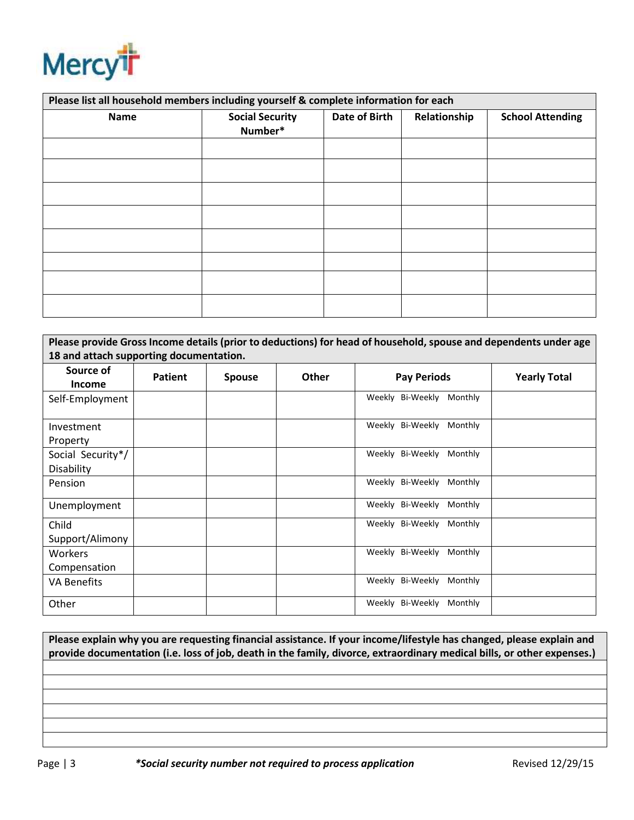

| Please list all household members including yourself & complete information for each |                                   |               |              |                         |  |  |
|--------------------------------------------------------------------------------------|-----------------------------------|---------------|--------------|-------------------------|--|--|
| <b>Name</b>                                                                          | <b>Social Security</b><br>Number* | Date of Birth | Relationship | <b>School Attending</b> |  |  |
|                                                                                      |                                   |               |              |                         |  |  |
|                                                                                      |                                   |               |              |                         |  |  |
|                                                                                      |                                   |               |              |                         |  |  |
|                                                                                      |                                   |               |              |                         |  |  |
|                                                                                      |                                   |               |              |                         |  |  |
|                                                                                      |                                   |               |              |                         |  |  |
|                                                                                      |                                   |               |              |                         |  |  |
|                                                                                      |                                   |               |              |                         |  |  |

| Please provide Gross Income details (prior to deductions) for head of household, spouse and dependents under age |         |               |              |                             |                     |  |  |
|------------------------------------------------------------------------------------------------------------------|---------|---------------|--------------|-----------------------------|---------------------|--|--|
| 18 and attach supporting documentation.                                                                          |         |               |              |                             |                     |  |  |
| Source of                                                                                                        | Patient |               | <b>Other</b> | <b>Pay Periods</b>          | <b>Yearly Total</b> |  |  |
| <b>Income</b>                                                                                                    |         | <b>Spouse</b> |              |                             |                     |  |  |
| Self-Employment                                                                                                  |         |               |              | Weekly Bi-Weekly<br>Monthly |                     |  |  |
| Investment                                                                                                       |         |               |              | Weekly Bi-Weekly<br>Monthly |                     |  |  |
| Property                                                                                                         |         |               |              |                             |                     |  |  |
| Social Security*/                                                                                                |         |               |              | Weekly Bi-Weekly<br>Monthly |                     |  |  |
| Disability                                                                                                       |         |               |              |                             |                     |  |  |
| Pension                                                                                                          |         |               |              | Weekly Bi-Weekly<br>Monthly |                     |  |  |
| Unemployment                                                                                                     |         |               |              | Weekly Bi-Weekly<br>Monthly |                     |  |  |
| Child                                                                                                            |         |               |              | Weekly Bi-Weekly<br>Monthly |                     |  |  |
| Support/Alimony                                                                                                  |         |               |              |                             |                     |  |  |
| Workers                                                                                                          |         |               |              | Weekly Bi-Weekly<br>Monthly |                     |  |  |
| Compensation                                                                                                     |         |               |              |                             |                     |  |  |
| <b>VA Benefits</b>                                                                                               |         |               |              | Weekly Bi-Weekly<br>Monthly |                     |  |  |
| Other                                                                                                            |         |               |              | Weekly Bi-Weekly<br>Monthly |                     |  |  |

**Please explain why you are requesting financial assistance. If your income/lifestyle has changed, please explain and provide documentation (i.e. loss of job, death in the family, divorce, extraordinary medical bills, or other expenses.)**